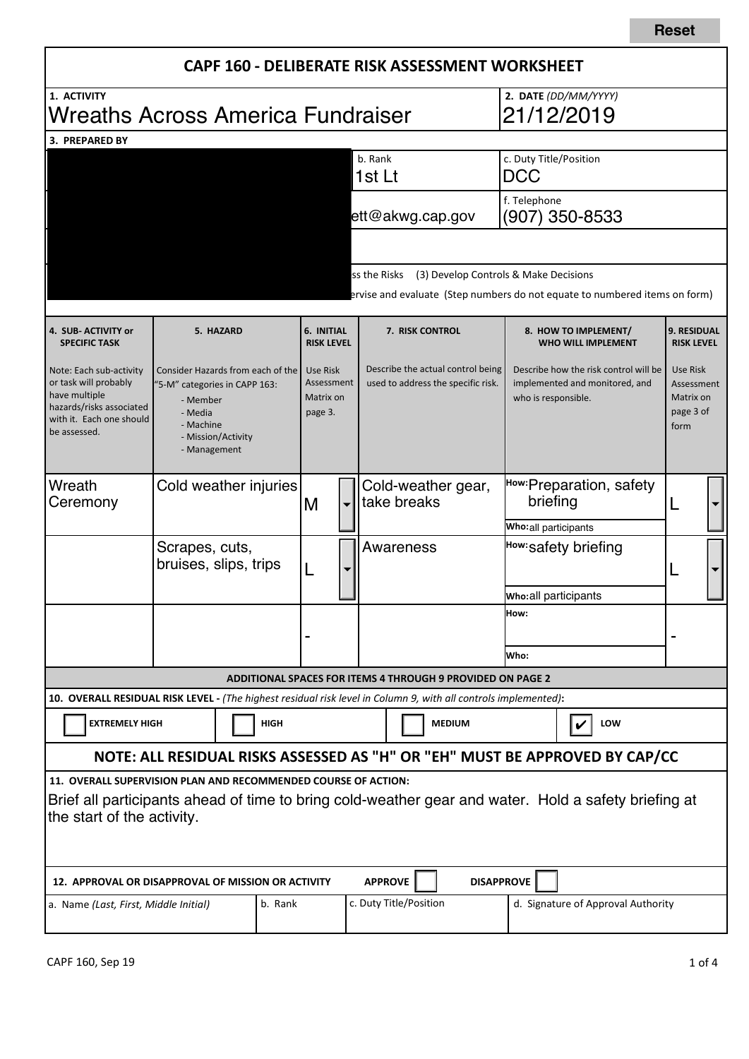|                                                                                                                                                                                                      |                                                                                                                                              |  |   |                                                |                                                | CAPF 160 - DELIBERATE RISK ASSESSMENT WORKSHEET                         |  |                                                                                                                                      |                                                   |                                                          |                                                                             |  |  |
|------------------------------------------------------------------------------------------------------------------------------------------------------------------------------------------------------|----------------------------------------------------------------------------------------------------------------------------------------------|--|---|------------------------------------------------|------------------------------------------------|-------------------------------------------------------------------------|--|--------------------------------------------------------------------------------------------------------------------------------------|---------------------------------------------------|----------------------------------------------------------|-----------------------------------------------------------------------------|--|--|
| 1. ACTIVITY<br>Wreaths Across America Fundraiser                                                                                                                                                     |                                                                                                                                              |  |   |                                                | 2. DATE (DD/MM/YYYY)<br>21/12/2019             |                                                                         |  |                                                                                                                                      |                                                   |                                                          |                                                                             |  |  |
| 3. PREPARED BY                                                                                                                                                                                       |                                                                                                                                              |  |   |                                                |                                                |                                                                         |  |                                                                                                                                      |                                                   |                                                          |                                                                             |  |  |
|                                                                                                                                                                                                      |                                                                                                                                              |  |   |                                                |                                                | b. Rank<br>1st Lt                                                       |  |                                                                                                                                      | c. Duty Title/Position<br><b>DCC</b>              |                                                          |                                                                             |  |  |
|                                                                                                                                                                                                      |                                                                                                                                              |  |   |                                                |                                                | ett@akwg.cap.gov                                                        |  |                                                                                                                                      | f. Telephone                                      |                                                          | (907) 350-8533                                                              |  |  |
|                                                                                                                                                                                                      |                                                                                                                                              |  |   |                                                |                                                |                                                                         |  |                                                                                                                                      |                                                   |                                                          |                                                                             |  |  |
|                                                                                                                                                                                                      |                                                                                                                                              |  |   |                                                |                                                | ss the Risks                                                            |  | (3) Develop Controls & Make Decisions                                                                                                |                                                   |                                                          | ervise and evaluate (Step numbers do not equate to numbered items on form)  |  |  |
| 4. SUB-ACTIVITY or<br><b>SPECIFIC TASK</b>                                                                                                                                                           | 5. HAZARD                                                                                                                                    |  |   | 6. INITIAL<br><b>RISK LEVEL</b>                |                                                | 7. RISK CONTROL                                                         |  |                                                                                                                                      | 8. HOW TO IMPLEMENT/<br><b>WHO WILL IMPLEMENT</b> |                                                          | <b>9. RESIDUAL</b><br><b>RISK LEVEL</b>                                     |  |  |
| Note: Each sub-activity<br>or task will probably<br>have multiple<br>hazards/risks associated<br>with it. Each one should<br>be assessed.                                                            | Consider Hazards from each of the<br>"5-M" categories in CAPP 163:<br>- Member<br>- Media<br>- Machine<br>- Mission/Activity<br>- Management |  |   | Use Risk<br>Assessment<br>Matrix on<br>page 3. |                                                | Describe the actual control being<br>used to address the specific risk. |  | Describe how the risk control will be<br>implemented and monitored, and<br>who is responsible.                                       |                                                   | Use Risk<br>Assessment<br>Matrix on<br>page 3 of<br>form |                                                                             |  |  |
| Wreath<br>Ceremony                                                                                                                                                                                   | Cold weather injuries<br>Scrapes, cuts,<br>bruises, slips, trips                                                                             |  | M |                                                | Cold-weather gear,<br>take breaks<br>Awareness |                                                                         |  | How: Preparation, safety<br>briefing<br>Who: all participants<br>How: safety briefing<br><b>Who:all participants</b><br>How:<br>Who: |                                                   |                                                          |                                                                             |  |  |
|                                                                                                                                                                                                      |                                                                                                                                              |  |   |                                                |                                                |                                                                         |  |                                                                                                                                      |                                                   |                                                          |                                                                             |  |  |
|                                                                                                                                                                                                      |                                                                                                                                              |  |   |                                                |                                                |                                                                         |  |                                                                                                                                      |                                                   |                                                          |                                                                             |  |  |
|                                                                                                                                                                                                      |                                                                                                                                              |  |   |                                                |                                                |                                                                         |  |                                                                                                                                      |                                                   |                                                          |                                                                             |  |  |
|                                                                                                                                                                                                      |                                                                                                                                              |  |   |                                                |                                                |                                                                         |  |                                                                                                                                      |                                                   |                                                          |                                                                             |  |  |
|                                                                                                                                                                                                      |                                                                                                                                              |  |   |                                                |                                                | <b>ADDITIONAL SPACES FOR ITEMS 4 THROUGH 9 PROVIDED ON PAGE 2</b>       |  |                                                                                                                                      |                                                   |                                                          |                                                                             |  |  |
| 10. OVERALL RESIDUAL RISK LEVEL - (The highest residual risk level in Column 9, with all controls implemented):                                                                                      |                                                                                                                                              |  |   |                                                |                                                |                                                                         |  |                                                                                                                                      |                                                   |                                                          |                                                                             |  |  |
| <b>EXTREMELY HIGH</b><br><b>HIGH</b>                                                                                                                                                                 |                                                                                                                                              |  |   |                                                |                                                | <b>MEDIUM</b>                                                           |  |                                                                                                                                      |                                                   | LOW<br>V                                                 |                                                                             |  |  |
|                                                                                                                                                                                                      |                                                                                                                                              |  |   |                                                |                                                |                                                                         |  |                                                                                                                                      |                                                   |                                                          | NOTE: ALL RESIDUAL RISKS ASSESSED AS "H" OR "EH" MUST BE APPROVED BY CAP/CC |  |  |
| 11. OVERALL SUPERVISION PLAN AND RECOMMENDED COURSE OF ACTION:<br>Brief all participants ahead of time to bring cold-weather gear and water. Hold a safety briefing at<br>the start of the activity. |                                                                                                                                              |  |   |                                                |                                                |                                                                         |  |                                                                                                                                      |                                                   |                                                          |                                                                             |  |  |
| 12. APPROVAL OR DISAPPROVAL OF MISSION OR ACTIVITY                                                                                                                                                   |                                                                                                                                              |  |   |                                                |                                                | <b>APPROVE</b>                                                          |  | <b>DISAPPROVE</b>                                                                                                                    |                                                   |                                                          |                                                                             |  |  |
| c. Duty Title/Position<br>b. Rank<br>a. Name (Last, First, Middle Initial)                                                                                                                           |                                                                                                                                              |  |   |                                                |                                                | d. Signature of Approval Authority                                      |  |                                                                                                                                      |                                                   |                                                          |                                                                             |  |  |

**Reset**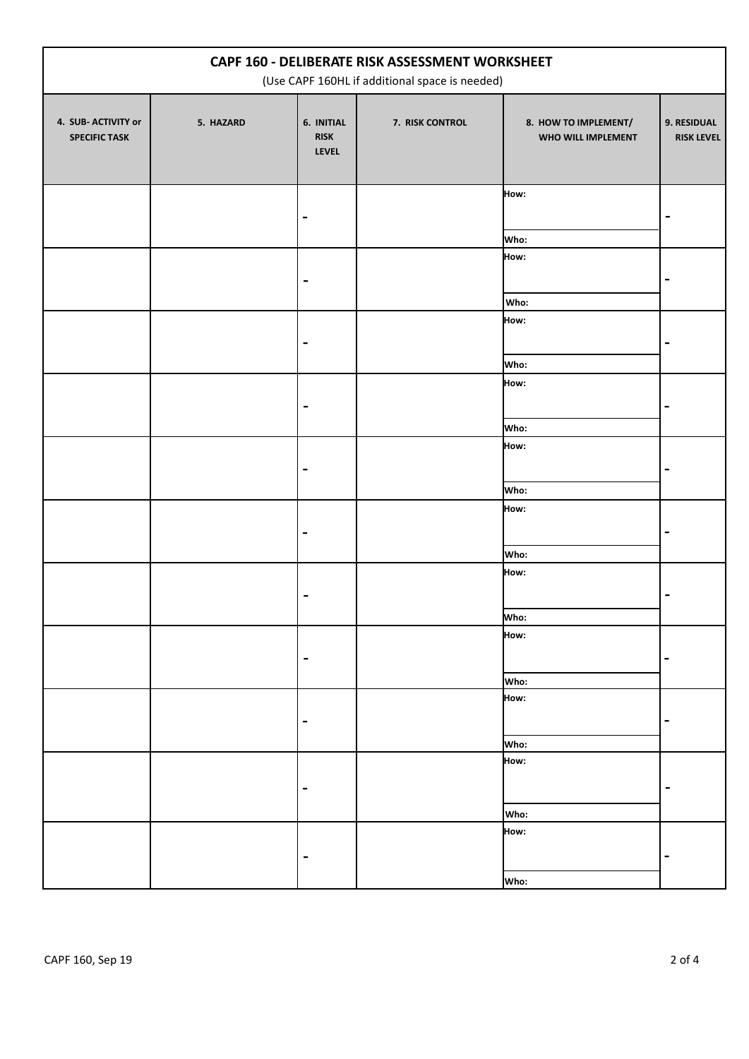| CAPF 160 - DELIBERATE RISK ASSESSMENT WORKSHEET<br>(Use CAPF 160HL if additional space is needed) |           |                                           |                 |                                            |                                  |  |
|---------------------------------------------------------------------------------------------------|-----------|-------------------------------------------|-----------------|--------------------------------------------|----------------------------------|--|
| 4. SUB- ACTIVITY or<br><b>SPECIFIC TASK</b>                                                       | 5. HAZARD | 6. INITIAL<br><b>RISK</b><br><b>LEVEL</b> | 7. RISK CONTROL | 8. HOW TO IMPLEMENT/<br>WHO WILL IMPLEMENT | 9. RESIDUAL<br><b>RISK LEVEL</b> |  |
|                                                                                                   |           |                                           |                 | How:<br>Who:                               |                                  |  |
|                                                                                                   |           | $\blacksquare$                            |                 | How:<br>Who:                               |                                  |  |
|                                                                                                   |           | $\blacksquare$                            |                 | How:<br>Who:                               | $\qquad \qquad \blacksquare$     |  |
|                                                                                                   |           | $\blacksquare$                            |                 | How:                                       |                                  |  |
|                                                                                                   |           |                                           |                 | Who:<br>How:                               |                                  |  |
|                                                                                                   |           |                                           |                 | Who:<br>How:                               |                                  |  |
|                                                                                                   |           |                                           |                 | Who:<br>How:                               |                                  |  |
|                                                                                                   |           | $\blacksquare$                            |                 | Who:<br>How:                               | $\blacksquare$                   |  |
|                                                                                                   |           | $\qquad \qquad \blacksquare$              |                 | Who:<br>How:                               | -                                |  |
|                                                                                                   |           |                                           |                 | Who:<br>How:                               |                                  |  |
|                                                                                                   |           | $\blacksquare$                            |                 | Who:<br>How:                               | -                                |  |
|                                                                                                   |           | $\blacksquare$                            |                 | Who:                                       | -                                |  |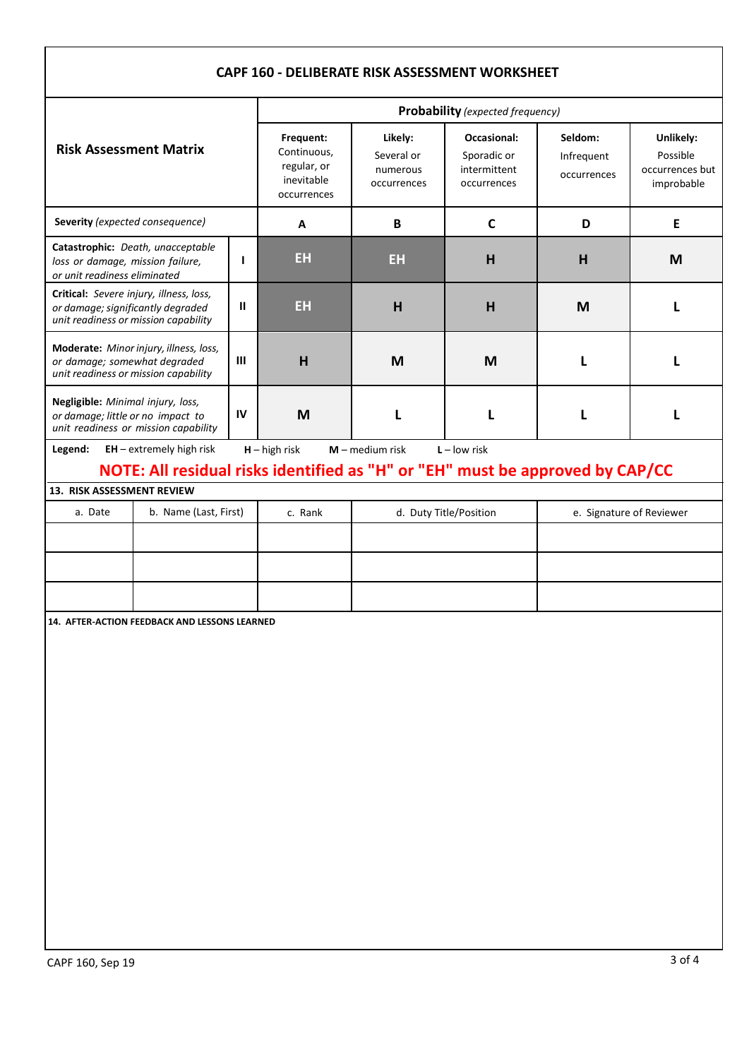| CAPF 160 - DELIBERATE RISK ASSESSMENT WORKSHEET                                                                                      |                                                                               |  |                                                                      |                                                  |                                                           |                                      |                                                        |  |  |
|--------------------------------------------------------------------------------------------------------------------------------------|-------------------------------------------------------------------------------|--|----------------------------------------------------------------------|--------------------------------------------------|-----------------------------------------------------------|--------------------------------------|--------------------------------------------------------|--|--|
|                                                                                                                                      |                                                                               |  | <b>Probability</b> (expected frequency)                              |                                                  |                                                           |                                      |                                                        |  |  |
| <b>Risk Assessment Matrix</b>                                                                                                        |                                                                               |  | Frequent:<br>Continuous,<br>regular, or<br>inevitable<br>occurrences | Likely:<br>Several or<br>numerous<br>occurrences | Occasional:<br>Sporadic or<br>intermittent<br>occurrences | Seldom:<br>Infrequent<br>occurrences | Unlikely:<br>Possible<br>occurrences but<br>improbable |  |  |
| Severity (expected consequence)                                                                                                      |                                                                               |  | A                                                                    | B                                                | C                                                         | D                                    | E                                                      |  |  |
| Catastrophic: Death, unacceptable<br>$\mathbf{I}$<br>loss or damage, mission failure,<br>or unit readiness eliminated                |                                                                               |  | EH                                                                   | EH                                               | H                                                         | H                                    | M                                                      |  |  |
| Critical: Severe injury, illness, loss,<br>$\mathbf{u}$<br>or damage; significantly degraded<br>unit readiness or mission capability |                                                                               |  | EH                                                                   | H                                                | H                                                         | M                                    |                                                        |  |  |
| Moderate: Minor injury, illness, loss,<br>$\mathbf{III}$<br>or damage; somewhat degraded<br>unit readiness or mission capability     |                                                                               |  | H                                                                    | M                                                | M                                                         | L                                    |                                                        |  |  |
| Negligible: Minimal injury, loss,<br>IV<br>or damage; little or no impact to<br>unit readiness or mission capability                 |                                                                               |  | M                                                                    | L                                                | L                                                         | L                                    |                                                        |  |  |
| Legend:                                                                                                                              | $EH$ – extremely high risk                                                    |  | $H - h$ igh risk                                                     | $M$ – medium risk                                | $L - low$ risk                                            |                                      |                                                        |  |  |
| 13. RISK ASSESSMENT REVIEW                                                                                                           | NOTE: All residual risks identified as "H" or "EH" must be approved by CAP/CC |  |                                                                      |                                                  |                                                           |                                      |                                                        |  |  |
| a. Date<br>b. Name (Last, First)                                                                                                     |                                                                               |  | c. Rank                                                              |                                                  | d. Duty Title/Position                                    | e. Signature of Reviewer             |                                                        |  |  |
|                                                                                                                                      |                                                                               |  |                                                                      |                                                  |                                                           |                                      |                                                        |  |  |
|                                                                                                                                      |                                                                               |  |                                                                      |                                                  |                                                           |                                      |                                                        |  |  |
|                                                                                                                                      |                                                                               |  |                                                                      |                                                  |                                                           |                                      |                                                        |  |  |
| 14. AFTER-ACTION FEEDBACK AND LESSONS LEARNED                                                                                        |                                                                               |  |                                                                      |                                                  |                                                           |                                      |                                                        |  |  |
|                                                                                                                                      |                                                                               |  |                                                                      |                                                  |                                                           |                                      |                                                        |  |  |
|                                                                                                                                      |                                                                               |  |                                                                      |                                                  |                                                           |                                      |                                                        |  |  |
|                                                                                                                                      |                                                                               |  |                                                                      |                                                  |                                                           |                                      |                                                        |  |  |
|                                                                                                                                      |                                                                               |  |                                                                      |                                                  |                                                           |                                      |                                                        |  |  |
|                                                                                                                                      |                                                                               |  |                                                                      |                                                  |                                                           |                                      |                                                        |  |  |
|                                                                                                                                      |                                                                               |  |                                                                      |                                                  |                                                           |                                      |                                                        |  |  |
|                                                                                                                                      |                                                                               |  |                                                                      |                                                  |                                                           |                                      |                                                        |  |  |
|                                                                                                                                      |                                                                               |  |                                                                      |                                                  |                                                           |                                      |                                                        |  |  |